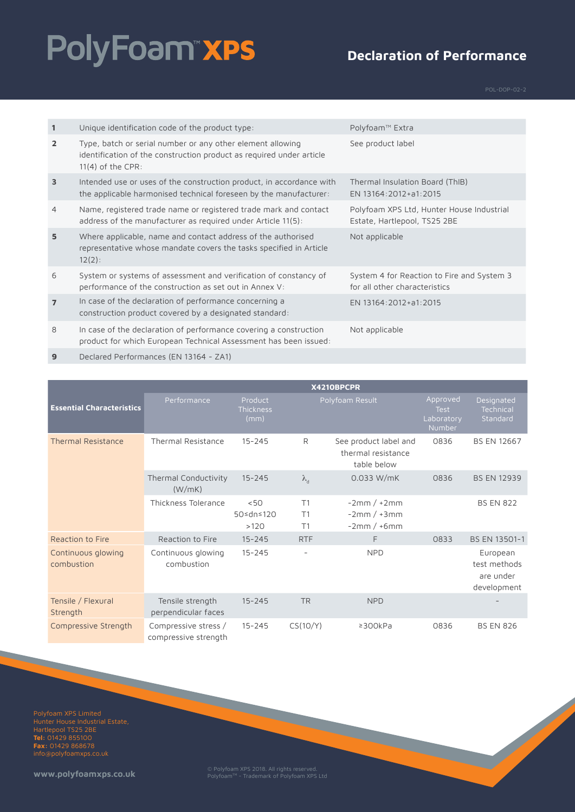# PolyFoam"xPS

#### **Declaration of Performance**

| $\mathbf{1}$   | Unique identification code of the product type:                                                                                                           | Polyfoam™ Extra                                                             |
|----------------|-----------------------------------------------------------------------------------------------------------------------------------------------------------|-----------------------------------------------------------------------------|
| $\overline{2}$ | Type, batch or serial number or any other element allowing<br>identification of the construction product as required under article<br>$11(4)$ of the CPR: | See product label                                                           |
| $\overline{3}$ | Intended use or uses of the construction product, in accordance with<br>the applicable harmonised technical foreseen by the manufacturer:                 | Thermal Insulation Board (ThIB)<br>EN 13164:2012+a1:2015                    |
| $\overline{4}$ | Name, registered trade name or registered trade mark and contact<br>address of the manufacturer as required under Article 11(5):                          | Polyfoam XPS Ltd, Hunter House Industrial<br>Estate, Hartlepool, TS25 2BE   |
| 5              | Where applicable, name and contact address of the authorised<br>representative whose mandate covers the tasks specified in Article<br>$12(2)$ :           | Not applicable                                                              |
| 6              | System or systems of assessment and verification of constancy of<br>performance of the construction as set out in Annex V:                                | System 4 for Reaction to Fire and System 3<br>for all other characteristics |
| $\overline{7}$ | In case of the declaration of performance concerning a<br>construction product covered by a designated standard:                                          | EN 13164:2012+a1:2015                                                       |
| 8              | In case of the declaration of performance covering a construction<br>product for which European Technical Assessment has been issued:                     | Not applicable                                                              |

**9** Declared Performances (EN 13164 - ZA1)

|                                  | X4210BPCPR                                   |                              |                   |                                                            |                                                        |                                                      |
|----------------------------------|----------------------------------------------|------------------------------|-------------------|------------------------------------------------------------|--------------------------------------------------------|------------------------------------------------------|
| <b>Essential Characteristics</b> | Performance                                  | Product<br>Thickness<br>(mm) |                   | Polyfoam Result                                            | Approved<br><b>Test</b><br>Laboratory<br><b>Number</b> | Designated<br>Technical<br>Standard                  |
| <b>Thermal Resistance</b>        | <b>Thermal Resistance</b>                    | $15 - 245$                   | R                 | See product label and<br>thermal resistance<br>table below | 0836                                                   | <b>BS EN 12667</b>                                   |
|                                  | Thermal Conductivity<br>(W/mK)               | $15 - 245$                   | $\lambda_{\rm d}$ | 0.033 W/mK                                                 | 0836                                                   | <b>BS EN 12939</b>                                   |
|                                  | Thickness Tolerance                          | < 50<br>50≤dn≤120<br>>120    | T1<br>T1<br>T1    | $-2mm/+2mm$<br>$-2mm/+3mm$<br>$-2mm/+6mm$                  |                                                        | <b>BS EN 822</b>                                     |
| Reaction to Fire                 | Reaction to Fire                             | $15 - 245$                   | <b>RTF</b>        | F.                                                         | 0833                                                   | BS EN 13501-1                                        |
| Continuous glowing<br>combustion | Continuous glowing<br>combustion             | $15 - 245$                   |                   | <b>NPD</b>                                                 |                                                        | European<br>test methods<br>are under<br>development |
| Tensile / Flexural<br>Strength   | Tensile strength<br>perpendicular faces      | $15 - 245$                   | <b>TR</b>         | <b>NPD</b>                                                 |                                                        |                                                      |
| Compressive Strength             | Compressive stress /<br>compressive strength | $15 - 245$                   | CS(10/Y)          | $\geq$ 300kPa                                              | 0836                                                   | <b>BS EN 826</b>                                     |

Polyfoam XPS Limited Hartlepool TS25 2BE **Tel:** 01429 855100 **Fax:** 01429 868678 info@polyfoamxps.co.uk

**www.polyfoamxps.co.uk** © Polyfoam XPS 2018. All rights reserved. PolyfoamTM - Trademark of Polyfoam XPS Ltd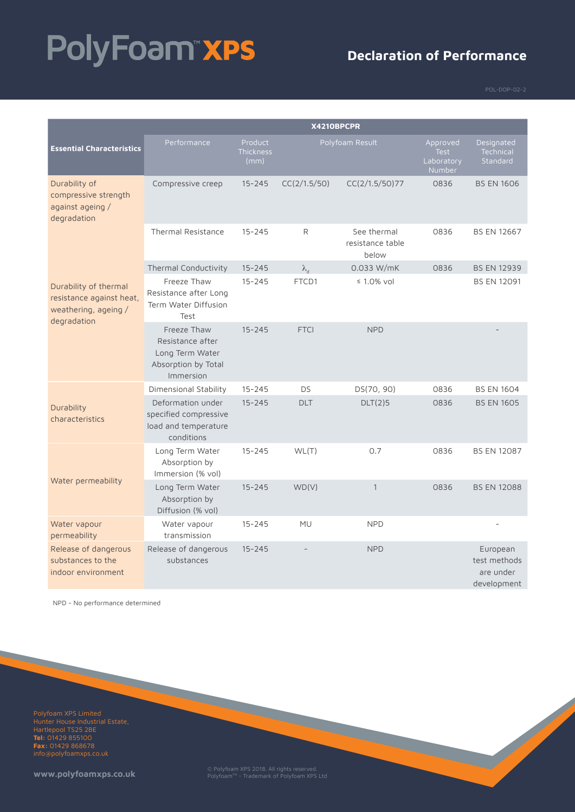# PolyFoam"xPS

#### **Declaration of Performance**

|                                                                                          | X4210BPCPR                                                                             |                              |                   |                                          |                                                 |                                                      |
|------------------------------------------------------------------------------------------|----------------------------------------------------------------------------------------|------------------------------|-------------------|------------------------------------------|-------------------------------------------------|------------------------------------------------------|
| <b>Essential Characteristics</b>                                                         | Performance                                                                            | Product<br>Thickness<br>(mm) |                   | Polyfoam Result                          | Approved<br><b>Test</b><br>Laboratory<br>Number | Designated<br>Technical<br>Standard                  |
| Durability of<br>compressive strength<br>against ageing /<br>degradation                 | Compressive creep                                                                      | $15 - 245$                   | CC(2/1.5/50)      | CC(2/1.5/50)77                           | 0836                                            | <b>BS EN 1606</b>                                    |
|                                                                                          | <b>Thermal Resistance</b>                                                              | $15 - 245$                   | R                 | See thermal<br>resistance table<br>below | 0836                                            | <b>BS EN 12667</b>                                   |
|                                                                                          | Thermal Conductivity                                                                   | $15 - 245$                   | $\lambda_{\rm d}$ | 0.033 W/mK                               | 0836                                            | <b>BS EN 12939</b>                                   |
| Durability of thermal<br>resistance against heat,<br>weathering, ageing /<br>degradation | Freeze Thaw<br>Resistance after Long<br>Term Water Diffusion<br>Test                   | $15 - 245$                   | FTCD1             | $\leq 1.0\%$ vol                         |                                                 | <b>BS EN 12091</b>                                   |
|                                                                                          | Freeze Thaw<br>Resistance after<br>Long Term Water<br>Absorption by Total<br>Immersion | $15 - 245$                   | <b>FTCI</b>       | <b>NPD</b>                               |                                                 |                                                      |
|                                                                                          | Dimensional Stability                                                                  | $15 - 245$                   | DS                | DS(70, 90)                               | 0836                                            | <b>BS EN 1604</b>                                    |
| Durability<br>characteristics                                                            | Deformation under<br>specified compressive<br>load and temperature<br>conditions       | $15 - 245$                   | <b>DLT</b>        | DLT(2)5                                  | 0836                                            | <b>BS EN 1605</b>                                    |
|                                                                                          | Long Term Water<br>Absorption by<br>Immersion (% vol)                                  | $15 - 245$                   | WL(T)             | 0.7                                      | 0836                                            | <b>BS EN 12087</b>                                   |
| Water permeability                                                                       | Long Term Water<br>Absorption by<br>Diffusion (% vol)                                  | $15 - 245$                   | WD(V)             | $\mathbf{1}$                             | 0836                                            | <b>BS EN 12088</b>                                   |
| Water vapour<br>permeability                                                             | Water vapour<br>transmission                                                           | $15 - 245$                   | <b>MU</b>         | <b>NPD</b>                               |                                                 |                                                      |
| Release of dangerous<br>substances to the<br>indoor environment                          | Release of dangerous<br>substances                                                     | $15 - 245$                   |                   | <b>NPD</b>                               |                                                 | European<br>test methods<br>are under<br>development |

NPD - No performance determined

Polyfoam XPS Limited Hartlepool TS25 2BE **Tel:** 01429 855100 **Fax:** 01429 868678 info@polyfoamxps.co.uk

**www.polyfoamxps.co.uk** © Polyfoam XPS 2018. All rights reserved. PolyfoamTM - Trademark of Polyfoam XPS Ltd